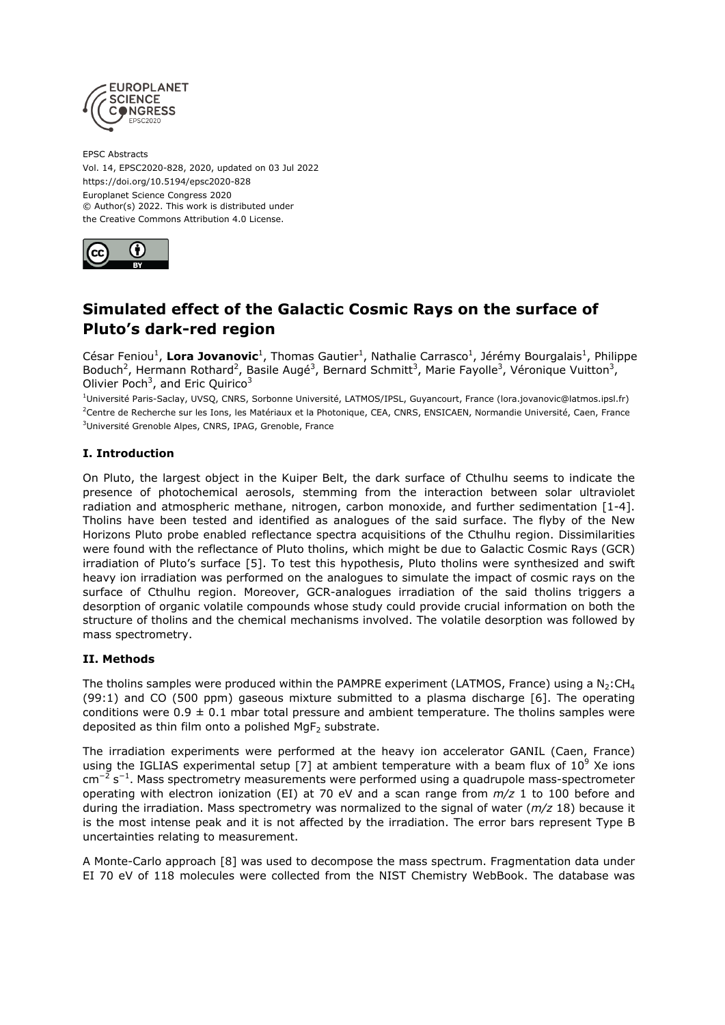

EPSC Abstracts Vol. 14, EPSC2020-828, 2020, updated on 03 Jul 2022 https://doi.org/10.5194/epsc2020-828 Europlanet Science Congress 2020 © Author(s) 2022. This work is distributed under the Creative Commons Attribution 4.0 License.



## **Simulated effect of the Galactic Cosmic Rays on the surface of Pluto's dark-red region**

César Feniou<sup>1</sup>, Lora Jovanovic<sup>1</sup>, Thomas Gautier<sup>1</sup>, Nathalie Carrasco<sup>1</sup>, Jérémy Bourgalais<sup>1</sup>, Philippe Boduch<sup>2</sup>, Hermann Rothard<sup>2</sup>, Basile Augé<sup>3</sup>, Bernard Schmitt<sup>3</sup>, Marie Fayolle<sup>3</sup>, Véronique Vuitton<sup>3</sup>, Olivier Poch<sup>3</sup>, and Eric Quirico<sup>3</sup>

<sup>1</sup>Université Paris-Saclay, UVSQ, CNRS, Sorbonne Université, LATMOS/IPSL, Guyancourt, France (lora.jovanovic@latmos.ipsl.fr) <sup>2</sup>Centre de Recherche sur les Ions, les Matériaux et la Photonique, CEA, CNRS, ENSICAEN, Normandie Université, Caen, France <sup>3</sup>Université Grenoble Alpes, CNRS, IPAG, Grenoble, France

## **I. Introduction**

On Pluto, the largest object in the Kuiper Belt, the dark surface of Cthulhu seems to indicate the presence of photochemical aerosols, stemming from the interaction between solar ultraviolet radiation and atmospheric methane, nitrogen, carbon monoxide, and further sedimentation [1-4]. Tholins have been tested and identified as analogues of the said surface. The flyby of the New Horizons Pluto probe enabled reflectance spectra acquisitions of the Cthulhu region. Dissimilarities were found with the reflectance of Pluto tholins, which might be due to Galactic Cosmic Rays (GCR) irradiation of Pluto's surface [5]. To test this hypothesis, Pluto tholins were synthesized and swift heavy ion irradiation was performed on the analogues to simulate the impact of cosmic rays on the surface of Cthulhu region. Moreover, GCR-analogues irradiation of the said tholins triggers a desorption of organic volatile compounds whose study could provide crucial information on both the structure of tholins and the chemical mechanisms involved. The volatile desorption was followed by mass spectrometry.

### **II. Methods**

The tholins samples were produced within the PAMPRE experiment (LATMOS, France) using a  $N_2$ :CH<sub>4</sub> (99:1) and CO (500 ppm) gaseous mixture submitted to a plasma discharge [6]. The operating conditions were  $0.9 \pm 0.1$  mbar total pressure and ambient temperature. The tholins samples were deposited as thin film onto a polished  $MqF<sub>2</sub>$  substrate.

The irradiation experiments were performed at the heavy ion accelerator GANIL (Caen, France) using the IGLIAS experimental setup [7] at ambient temperature with a beam flux of  $10^9$  Xe ions cm<sup>-2</sup> s<sup>-1</sup>. Mass spectrometry measurements were performed using a quadrupole mass-spectrometer operating with electron ionization (EI) at 70 eV and a scan range from *m/z* 1 to 100 before and during the irradiation. Mass spectrometry was normalized to the signal of water (*m/z* 18) because it is the most intense peak and it is not affected by the irradiation. The error bars represent Type B uncertainties relating to measurement.

A Monte-Carlo approach [8] was used to decompose the mass spectrum. Fragmentation data under EI 70 eV of 118 molecules were collected from the NIST Chemistry WebBook. The database was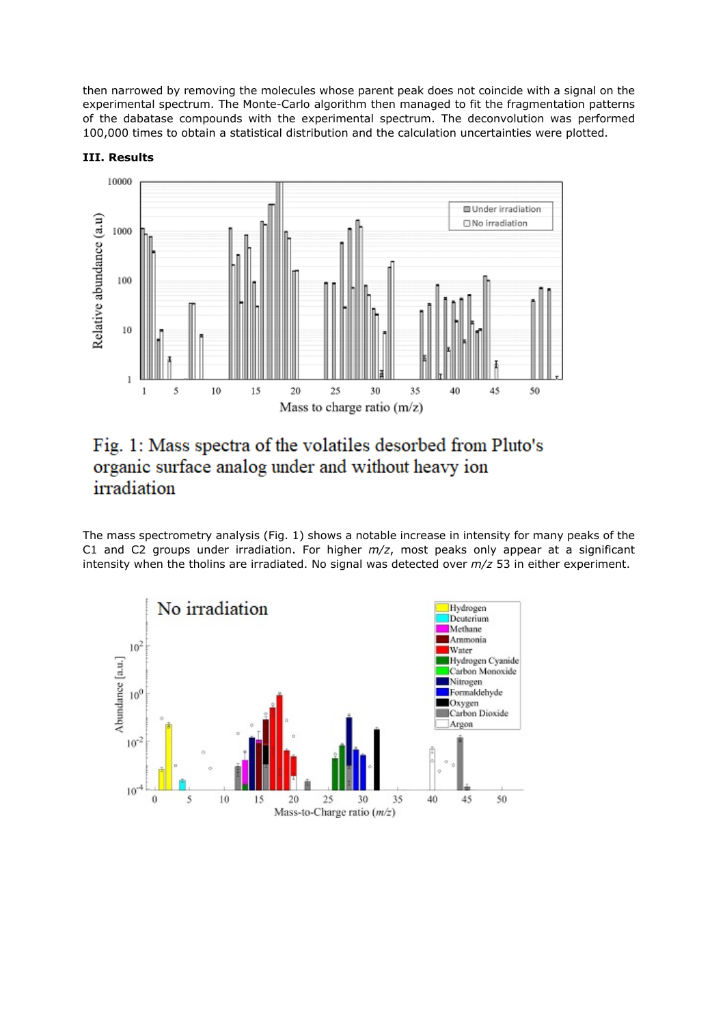then narrowed by removing the molecules whose parent peak does not coincide with a signal on the experimental spectrum. The Monte-Carlo algorithm then managed to fit the fragmentation patterns of the dabatase compounds with the experimental spectrum. The deconvolution was performed 100,000 times to obtain a statistical distribution and the calculation uncertainties were plotted.



#### **III. Results**

# Fig. 1: Mass spectra of the volatiles desorbed from Pluto's organic surface analog under and without heavy ion irradiation

The mass spectrometry analysis (Fig. 1) shows a notable increase in intensity for many peaks of the C1 and C2 groups under irradiation. For higher *m/z*, most peaks only appear at a significant intensity when the tholins are irradiated. No signal was detected over *m/z* 53 in either experiment.

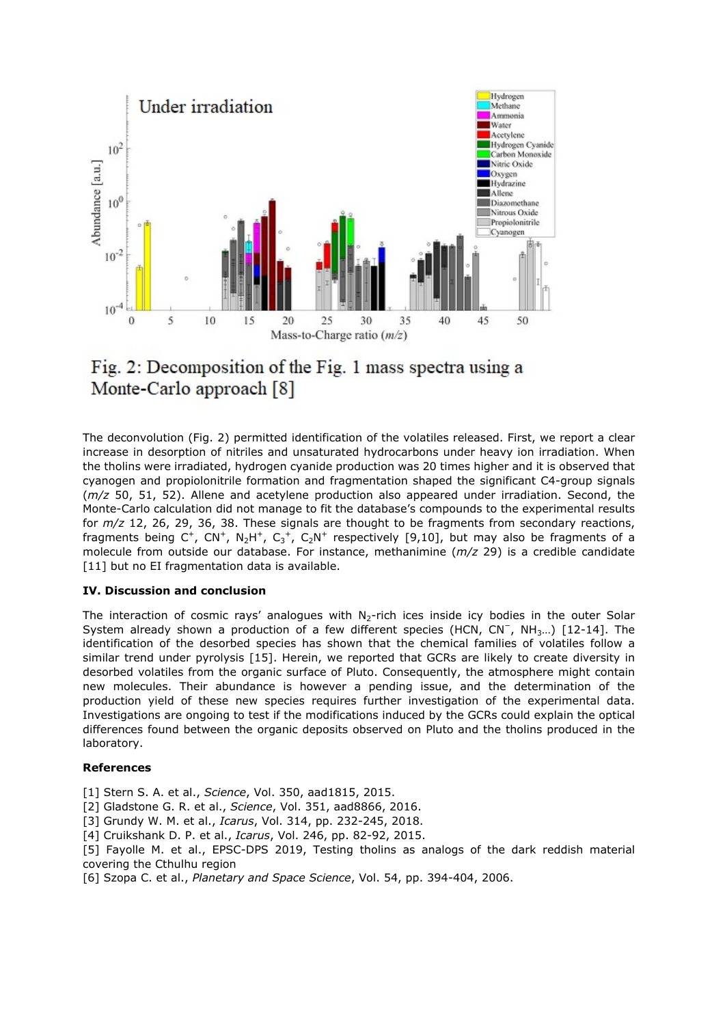



The deconvolution (Fig. 2) permitted identification of the volatiles released. First, we report a clear increase in desorption of nitriles and unsaturated hydrocarbons under heavy ion irradiation. When the tholins were irradiated, hydrogen cyanide production was 20 times higher and it is observed that cyanogen and propiolonitrile formation and fragmentation shaped the significant C4-group signals (*m/z* 50, 51, 52). Allene and acetylene production also appeared under irradiation. Second, the Monte-Carlo calculation did not manage to fit the database's compounds to the experimental results for *m/z* 12, 26, 29, 36, 38. These signals are thought to be fragments from secondary reactions, fragments being C<sup>+</sup>, CN<sup>+</sup>, N<sub>2</sub>H<sup>+</sup>, C<sub>3</sub><sup>+</sup>, C<sub>2</sub>N<sup>+</sup> respectively [9,10], but may also be fragments of a molecule from outside our database. For instance, methanimine (*m/z* 29) is a credible candidate [11] but no EI fragmentation data is available.

#### **IV. Discussion and conclusion**

The interaction of cosmic rays' analogues with  $N<sub>2</sub>$ -rich ices inside icy bodies in the outer Solar System already shown a production of a few different species (HCN, CN<sup>-</sup>, NH<sub>3</sub>...) [12-14]. The identification of the desorbed species has shown that the chemical families of volatiles follow a similar trend under pyrolysis [15]. Herein, we reported that GCRs are likely to create diversity in desorbed volatiles from the organic surface of Pluto. Consequently, the atmosphere might contain new molecules. Their abundance is however a pending issue, and the determination of the production yield of these new species requires further investigation of the experimental data. Investigations are ongoing to test if the modifications induced by the GCRs could explain the optical differences found between the organic deposits observed on Pluto and the tholins produced in the laboratory.

#### **References**

- [1] Stern S. A. et al., *Science*, Vol. 350, aad1815, 2015.
- [2] Gladstone G. R. et al., *Science*, Vol. 351, aad8866, 2016.
- [3] Grundy W. M. et al., *Icarus*, Vol. 314, pp. 232-245, 2018.
- [4] Cruikshank D. P. et al., *Icarus*, Vol. 246, pp. 82-92, 2015.
- [5] Fayolle M. et al., EPSC-DPS 2019, Testing tholins as analogs of the dark reddish material covering the Cthulhu region
- [6] Szopa C. et al., *Planetary and Space Science*, Vol. 54, pp. 394-404, 2006.